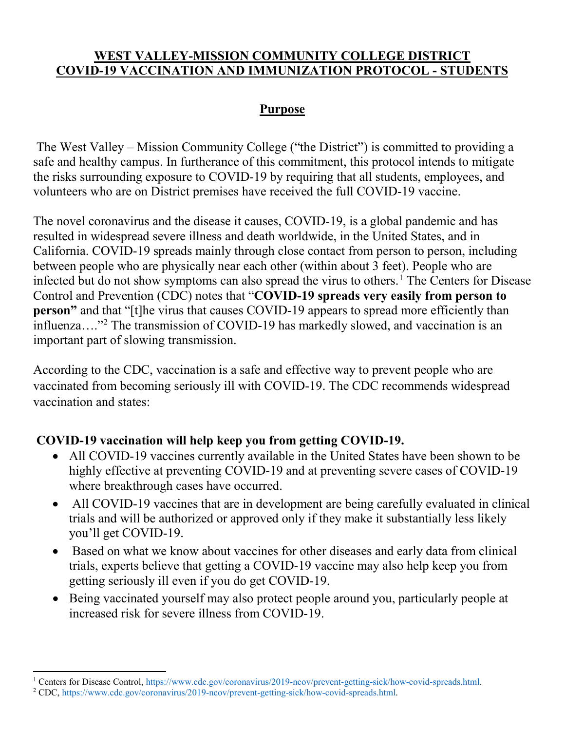### **WEST VALLEY-MISSION COMMUNITY COLLEGE DISTRICT COVID-19 VACCINATION AND IMMUNIZATION PROTOCOL - STUDENTS**

## **Purpose**

The West Valley – Mission Community College ("the District") is committed to providing a safe and healthy campus. In furtherance of this commitment, this protocol intends to mitigate the risks surrounding exposure to COVID-19 by requiring that all students, employees, and volunteers who are on District premises have received the full COVID-19 vaccine.

The novel coronavirus and the disease it causes, COVID-19, is a global pandemic and has resulted in widespread severe illness and death worldwide, in the United States, and in California. COVID-19 spreads mainly through close contact from person to person, including between people who are physically near each other (within about 3 feet). People who are infected but do not show symptoms can also spread the virus to others.<sup>[1](#page-0-0)</sup> The Centers for Disease Control and Prevention (CDC) notes that "**COVID-19 spreads very easily from person to person**" and that "[t]he virus that causes COVID-19 appears to spread more efficiently than influenza…."[2](#page-0-1) The transmission of COVID-19 has markedly slowed, and vaccination is an important part of slowing transmission.

According to the CDC, vaccination is a safe and effective way to prevent people who are vaccinated from becoming seriously ill with COVID-19. The CDC recommends widespread vaccination and states:

## **COVID-19 vaccination will help keep you from getting COVID-19.**

- All COVID-19 vaccines currently available in the United States have been shown to be highly effective at preventing COVID-19 and at preventing severe cases of COVID-19 where breakthrough cases have occurred.
- All COVID-19 vaccines that are in development are being carefully evaluated in clinical trials and will be authorized or approved only if they make it substantially less likely you'll get COVID-19.
- Based on what we know about vaccines for other diseases and early data from clinical trials, experts believe that getting a COVID-19 vaccine may also help keep you from getting seriously ill even if you do get COVID-19.
- Being vaccinated yourself may also protect people around you, particularly people at increased risk for severe illness from COVID-19.

<span id="page-0-0"></span>l <sup>1</sup> Centers for Disease Control, https://www.cdc.gov/coronavirus/2019-ncov/prevent-getting-sick/how-covid-spreads.html. <sup>2</sup> CDC, https://www.cdc.gov/coronavirus/2019-ncov/prevent-getting-sick/how-covid-spreads.html.

<span id="page-0-1"></span>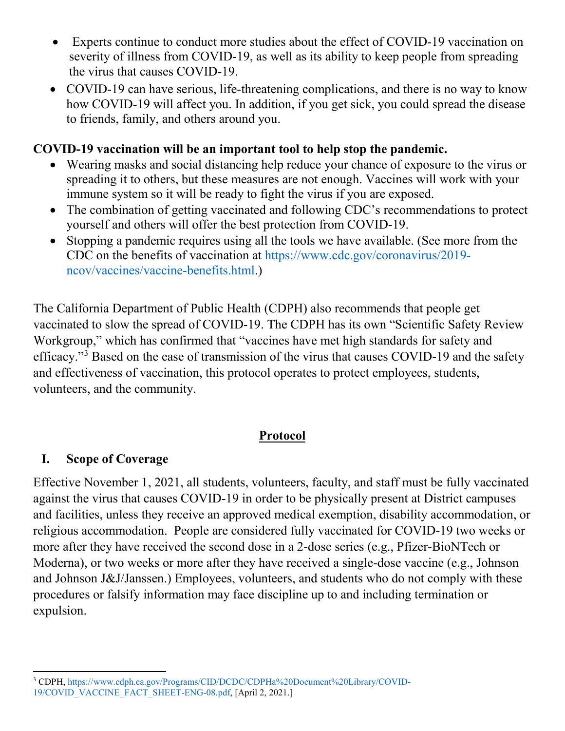- Experts continue to conduct more studies about the effect of COVID-19 vaccination on severity of illness from COVID-19, as well as its ability to keep people from spreading the virus that causes COVID-19.
- COVID-19 can have serious, life-threatening complications, and there is no way to know how COVID-19 will affect you. In addition, if you get sick, you could spread the disease to friends, family, and others around you.

### **COVID-19 vaccination will be an important tool to help stop the pandemic.**

- Wearing masks and social distancing help reduce your chance of exposure to the virus or spreading it to others, but these measures are not enough. Vaccines will work with your immune system so it will be ready to fight the virus if you are exposed.
- The combination of getting vaccinated and following CDC's recommendations to protect yourself and others will offer the best protection from COVID-19.
- Stopping a pandemic requires using all the tools we have available. (See more from the CDC on the benefits of vaccination at https://www.cdc.gov/coronavirus/2019 ncov/vaccines/vaccine-benefits.html.)

The California Department of Public Health (CDPH) also recommends that people get vaccinated to slow the spread of COVID-19. The CDPH has its own "Scientific Safety Review Workgroup," which has confirmed that "vaccines have met high standards for safety and efficacy."[3](#page-1-0) Based on the ease of transmission of the virus that causes COVID-19 and the safety and effectiveness of vaccination, this protocol operates to protect employees, students, volunteers, and the community.

### **Protocol**

## **I. Scope of Coverage**

Effective November 1, 2021, all students, volunteers, faculty, and staff must be fully vaccinated against the virus that causes COVID-19 in order to be physically present at District campuses and facilities, unless they receive an approved medical exemption, disability accommodation, or religious accommodation. People are considered fully vaccinated for COVID-19 two weeks or more after they have received the second dose in a 2-dose series (e.g., Pfizer-BioNTech or Moderna), or two weeks or more after they have received a single-dose vaccine (e.g., Johnson and Johnson J&J/Janssen.) Employees, volunteers, and students who do not comply with these procedures or falsify information may face discipline up to and including termination or expulsion.

<span id="page-1-0"></span>l <sup>3</sup> CDPH, https://www.cdph.ca.gov/Programs/CID/DCDC/CDPHa%20Document%20Library/COVID-19/COVID\_VACCINE\_FACT\_SHEET-ENG-08.pdf, [April 2, 2021.]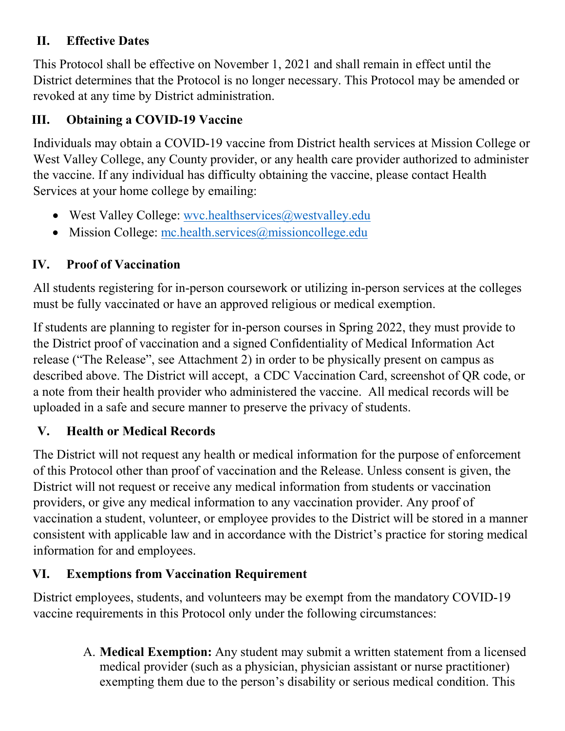## **II. Effective Dates**

This Protocol shall be effective on November 1, 2021 and shall remain in effect until the District determines that the Protocol is no longer necessary. This Protocol may be amended or revoked at any time by District administration.

# **III. Obtaining a COVID-19 Vaccine**

Individuals may obtain a COVID-19 vaccine from District health services at Mission College or West Valley College, any County provider, or any health care provider authorized to administer the vaccine. If any individual has difficulty obtaining the vaccine, please contact Health Services at your home college by emailing:

- West Valley College: wvc.healthservices@westvalley.edu
- Mission College: [mc.health.services@missioncollege.edu](mailto:mc.health.services@missioncollege.edu)

# **IV. Proof of Vaccination**

All students registering for in-person coursework or utilizing in-person services at the colleges must be fully vaccinated or have an approved religious or medical exemption.

If students are planning to register for in-person courses in Spring 2022, they must provide to the District proof of vaccination and a signed Confidentiality of Medical Information Act release ("The Release", see Attachment 2) in order to be physically present on campus as described above. The District will accept, a CDC Vaccination Card, screenshot of QR code, or a note from their health provider who administered the vaccine. All medical records will be uploaded in a safe and secure manner to preserve the privacy of students.

# **V. Health or Medical Records**

The District will not request any health or medical information for the purpose of enforcement of this Protocol other than proof of vaccination and the Release. Unless consent is given, the District will not request or receive any medical information from students or vaccination providers, or give any medical information to any vaccination provider. Any proof of vaccination a student, volunteer, or employee provides to the District will be stored in a manner consistent with applicable law and in accordance with the District's practice for storing medical information for and employees.

# **VI. Exemptions from Vaccination Requirement**

District employees, students, and volunteers may be exempt from the mandatory COVID-19 vaccine requirements in this Protocol only under the following circumstances:

> A. **Medical Exemption:** Any student may submit a written statement from a licensed medical provider (such as a physician, physician assistant or nurse practitioner) exempting them due to the person's disability or serious medical condition. This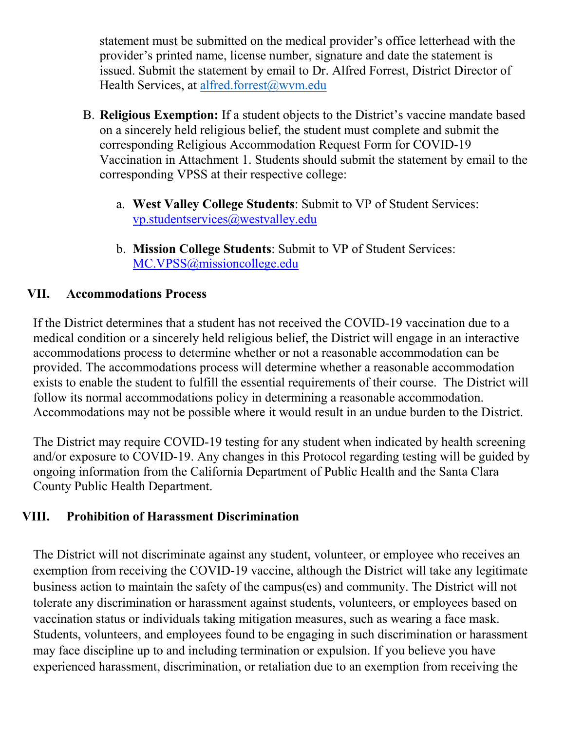statement must be submitted on the medical provider's office letterhead with the provider's printed name, license number, signature and date the statement is issued. Submit the statement by email to Dr. Alfred Forrest, District Director of Health Services, at [alfred.forrest@wvm.edu](mailto:alfred.forrest@wvm.edu)

- B. **Religious Exemption:** If a student objects to the District's vaccine mandate based on a sincerely held religious belief, the student must complete and submit the corresponding Religious Accommodation Request Form for COVID-19 Vaccination in Attachment 1. Students should submit the statement by email to the corresponding VPSS at their respective college:
	- a. **West Valley College Students**: Submit to VP of Student Services: [vp.studentservices@westvalley.edu](mailto:vp.studentservices@westvalley.edu)
	- b. **Mission College Students**: Submit to VP of Student Services: [MC.VPSS@missioncollege.edu](mailto:MC.VPSS@missioncollege.edu)

## **VII. Accommodations Process**

If the District determines that a student has not received the COVID-19 vaccination due to a medical condition or a sincerely held religious belief, the District will engage in an interactive accommodations process to determine whether or not a reasonable accommodation can be provided. The accommodations process will determine whether a reasonable accommodation exists to enable the student to fulfill the essential requirements of their course. The District will follow its normal accommodations policy in determining a reasonable accommodation. Accommodations may not be possible where it would result in an undue burden to the District.

The District may require COVID-19 testing for any student when indicated by health screening and/or exposure to COVID-19. Any changes in this Protocol regarding testing will be guided by ongoing information from the California Department of Public Health and the Santa Clara County Public Health Department.

## **VIII. Prohibition of Harassment Discrimination**

The District will not discriminate against any student, volunteer, or employee who receives an exemption from receiving the COVID-19 vaccine, although the District will take any legitimate business action to maintain the safety of the campus(es) and community. The District will not tolerate any discrimination or harassment against students, volunteers, or employees based on vaccination status or individuals taking mitigation measures, such as wearing a face mask. Students, volunteers, and employees found to be engaging in such discrimination or harassment may face discipline up to and including termination or expulsion. If you believe you have experienced harassment, discrimination, or retaliation due to an exemption from receiving the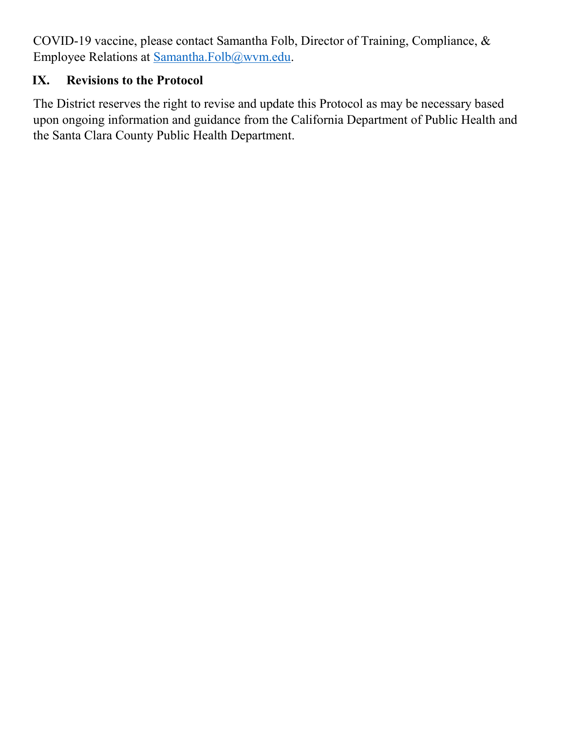COVID-19 vaccine, please contact Samantha Folb, Director of Training, Compliance, & Employee Relations at [Samantha.Folb@wvm.edu.](mailto:Samantha.Folb@wvm.edu)

# **IX. Revisions to the Protocol**

The District reserves the right to revise and update this Protocol as may be necessary based upon ongoing information and guidance from the California Department of Public Health and the Santa Clara County Public Health Department.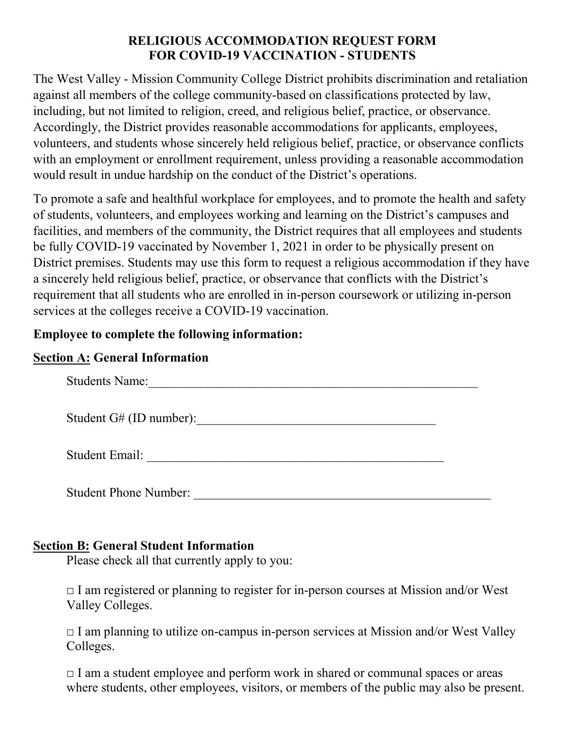### **RELIGIOUS ACCOMMODATION REQUEST FORM FOR COVID-19 VACCINATION - STUDENTS**

The West Valley - Mission Community College District prohibits discrimination and retaliation against all members of the college community-based on classifications protected by law, including, but not limited to religion, creed, and religious belief, practice, or observance. Accordingly, the District provides reasonable accommodations for applicants, employees, volunteers, and students whose sincerely held religious belief, practice, or observance conflicts with an employment or enrollment requirement, unless providing a reasonable accommodation would result in undue hardship on the conduct of the District's operations.

To promote a safe and healthful workplace for employees, and to promote the health and safety of students, volunteers, and employees working and learning on the District's campuses and facilities, and members of the community, the District requires that all employees and students be fully COVID-19 vaccinated by November 1, 2021 in order to be physically present on District premises. Students may use this form to request a religious accommodation if they have a sincerely held religious belief, practice, or observance that conflicts with the District's requirement that all students who are enrolled in in-person coursework or utilizing in-person services at the colleges receive a COVID-19 vaccination.

### **Employee to complete the following information:**

### **Section A: General Information**

| <b>Students Name:</b>        |  |
|------------------------------|--|
| Student G# (ID number):      |  |
| Student Email:               |  |
| <b>Student Phone Number:</b> |  |

## **Section B: General Student Information**

Please check all that currently apply to you:

 $\Box$  I am registered or planning to register for in-person courses at Mission and/or West Valley Colleges.

 $\Box$  I am planning to utilize on-campus in-person services at Mission and/or West Valley Colleges.

 $\Box$  I am a student employee and perform work in shared or communal spaces or areas where students, other employees, visitors, or members of the public may also be present.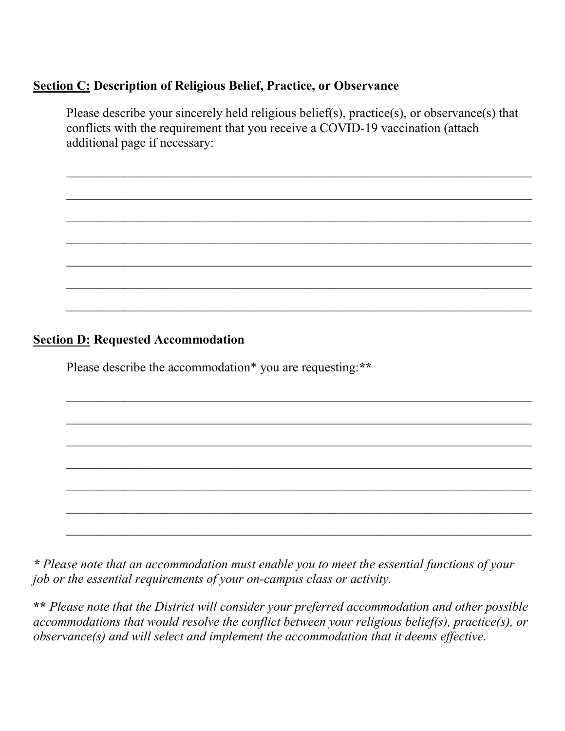#### **Section C: Description of Religious Belief, Practice, or Observance**

Please describe your sincerely held religious belief(s), practice(s), or observance(s) that conflicts with the requirement that you receive a COVID-19 vaccination (attach additional page if necessary:

 $\mathcal{L}_\text{max}$  , and the contract of the contract of the contract of the contract of the contract of the contract of the contract of the contract of the contract of the contract of the contract of the contract of the contr

 $\mathcal{L}_\text{max}$  , and the contract of the contract of the contract of the contract of the contract of the contract of the contract of the contract of the contract of the contract of the contract of the contract of the contr

 $\mathcal{L}_\text{max}$  , and the contract of the contract of the contract of the contract of the contract of the contract of the contract of the contract of the contract of the contract of the contract of the contract of the contr

 $\mathcal{L}_\text{max}$  , and the contract of the contract of the contract of the contract of the contract of the contract of the contract of the contract of the contract of the contract of the contract of the contract of the contr

 $\mathcal{L}_\text{max}$  , and the contract of the contract of the contract of the contract of the contract of the contract of the contract of the contract of the contract of the contract of the contract of the contract of the contr

 $\mathcal{L}_\text{max}$  , and the contract of the contract of the contract of the contract of the contract of the contract of the contract of the contract of the contract of the contract of the contract of the contract of the contr

 $\overline{a}$  , and the contribution of the contribution of the contribution of the contribution of the contribution of the contribution of the contribution of the contribution of the contribution of the contribution of the co

 $\_$  . The contribution of the contribution of the contribution of the contribution of the contribution of the contribution of the contribution of the contribution of the contribution of the contribution of the contributio

 $\_$  , and the set of the set of the set of the set of the set of the set of the set of the set of the set of the set of the set of the set of the set of the set of the set of the set of the set of the set of the set of th

 $\_$  . The contribution of the contribution of the contribution of the contribution of the contribution of the contribution of the contribution of the contribution of the contribution of the contribution of the contributio

 $\_$  , and the contribution of the contribution of the contribution of the contribution of the contribution of  $\sim$ 

 $\_$  , and the set of the set of the set of the set of the set of the set of the set of the set of the set of the set of the set of the set of the set of the set of the set of the set of the set of the set of the set of th

 $\_$  . The contribution of the contribution of the contribution of the contribution of the contribution of the contribution of the contribution of the contribution of the contribution of the contribution of the contributio

 $\_$  . The contribution of the contribution of the contribution of the contribution of the contribution of the contribution of the contribution of the contribution of the contribution of the contribution of the contributio

#### **Section D: Requested Accommodation**

Please describe the accommodation\* you are requesting:**\*\*** 

*\* Please note that an accommodation must enable you to meet the essential functions of your job or the essential requirements of your on-campus class or activity.*

**\*\*** *Please note that the District will consider your preferred accommodation and other possible accommodations that would resolve the conflict between your religious belief(s), practice(s), or observance(s) and will select and implement the accommodation that it deems effective.*